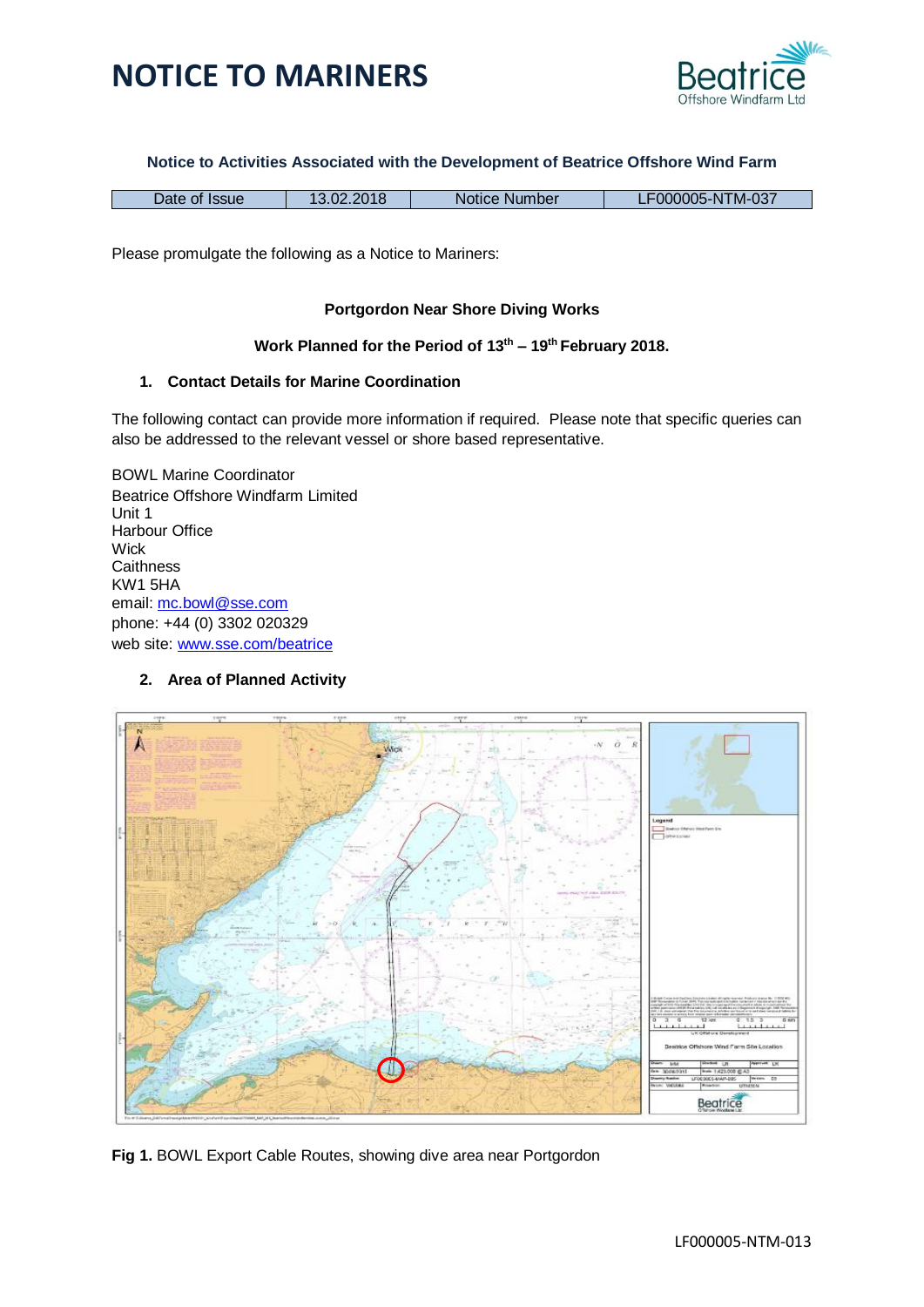

#### **Notice to Activities Associated with the Development of Beatrice Offshore Wind Farm**

| $\overline{\phantom{a}}$<br><b>Jate</b><br><b>Issue</b><br>0t | Number<br>Notice | rM-037<br>00005-N |
|---------------------------------------------------------------|------------------|-------------------|
|---------------------------------------------------------------|------------------|-------------------|

Please promulgate the following as a Notice to Mariners:

#### **Portgordon Near Shore Diving Works**

#### **Work Planned for the Period of 13 th – 19th February 2018.**

#### **1. Contact Details for Marine Coordination**

The following contact can provide more information if required. Please note that specific queries can also be addressed to the relevant vessel or shore based representative.

BOWL Marine Coordinator Beatrice Offshore Windfarm Limited Unit 1 Harbour Office **Wick Caithness** KW1 5HA email: [mc.bowl@sse.com](mailto:mc.bowl@sse.com) phone: +44 (0) 3302 020329 web site: [www.sse.com/beatrice](http://www.sse.com/beatrice)

#### **2. Area of Planned Activity**



**Fig 1.** BOWL Export Cable Routes, showing dive area near Portgordon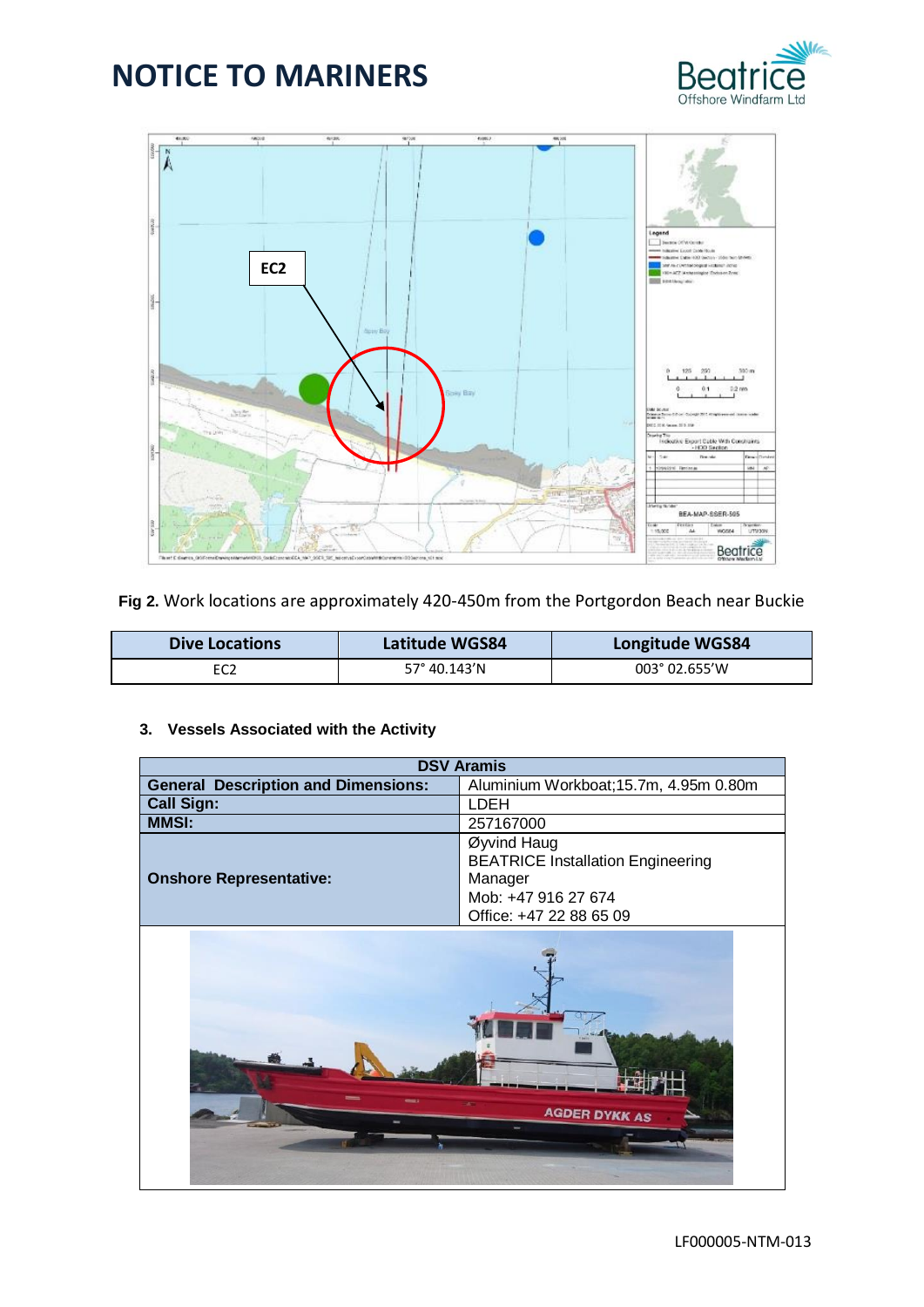



**Fig 2.** Work locations are approximately 420-450m from the Portgordon Beach near Buckie

| <b>Dive Locations</b> | <b>Latitude WGS84</b> | <b>Longitude WGS84</b> |
|-----------------------|-----------------------|------------------------|
|                       | $57^{\circ}$ 40.143'N | 003° 02.655'W          |

#### **3. Vessels Associated with the Activity**

| <b>DSV Aramis</b>                          |                                                                                                                      |  |
|--------------------------------------------|----------------------------------------------------------------------------------------------------------------------|--|
| <b>General Description and Dimensions:</b> | Aluminium Workboat; 15.7m, 4.95m 0.80m                                                                               |  |
| <b>Call Sign:</b>                          | LDEH                                                                                                                 |  |
| <b>MMSI:</b>                               | 257167000                                                                                                            |  |
| <b>Onshore Representative:</b>             | Øyvind Haug<br><b>BEATRICE Installation Engineering</b><br>Manager<br>Mob: +47 916 27 674<br>Office: +47 22 88 65 09 |  |

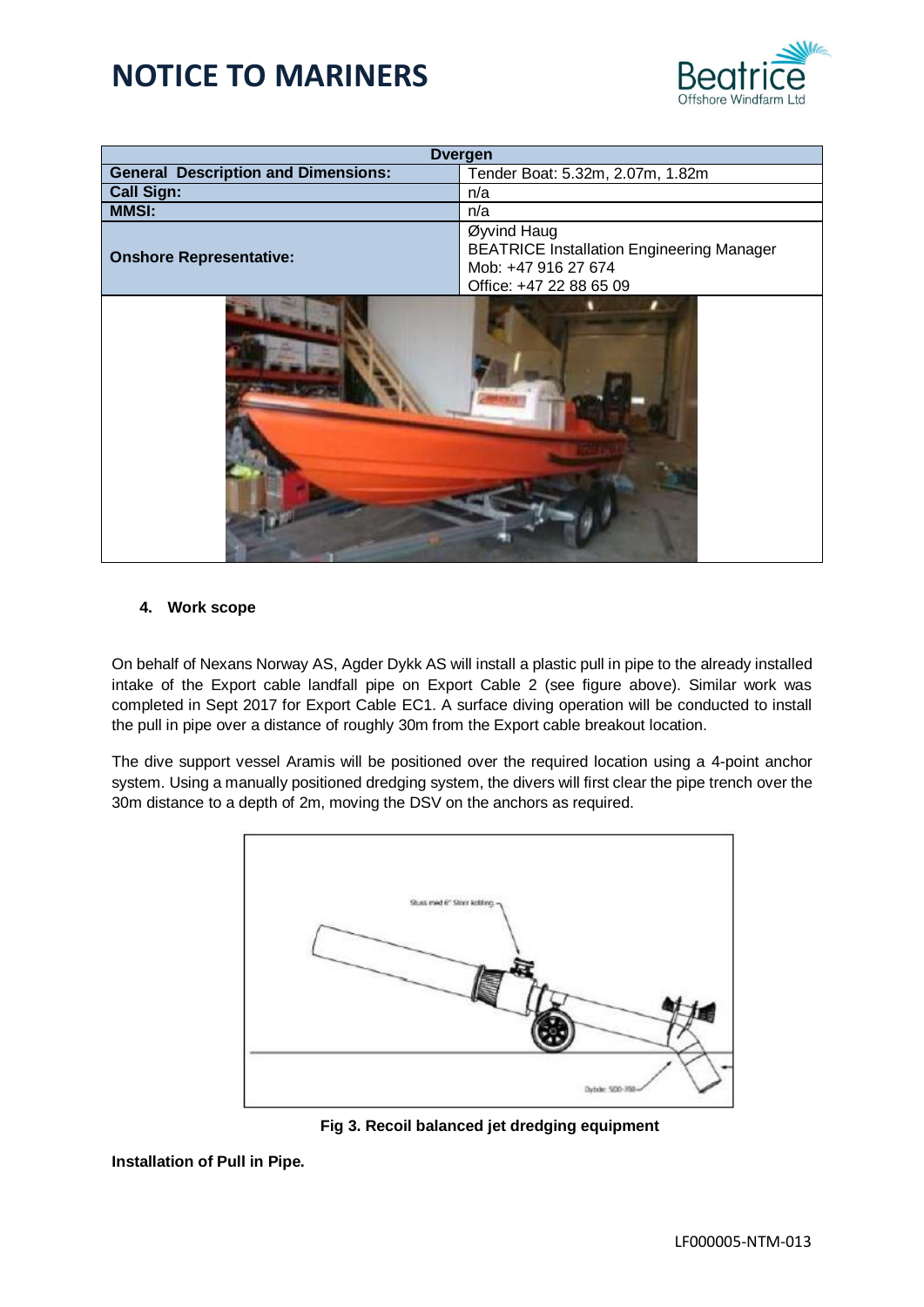

| <b>Dvergen</b>                             |                                                                                                                   |  |
|--------------------------------------------|-------------------------------------------------------------------------------------------------------------------|--|
| <b>General Description and Dimensions:</b> | Tender Boat: 5.32m, 2.07m, 1.82m                                                                                  |  |
| <b>Call Sign:</b><br>n/a                   |                                                                                                                   |  |
| <b>MMSI:</b>                               | n/a                                                                                                               |  |
| <b>Onshore Representative:</b>             | Øyvind Haug<br><b>BEATRICE Installation Engineering Manager</b><br>Mob: +47 916 27 674<br>Office: +47 22 88 65 09 |  |
|                                            |                                                                                                                   |  |

#### **4. Work scope**

On behalf of Nexans Norway AS, Agder Dykk AS will install a plastic pull in pipe to the already installed intake of the Export cable landfall pipe on Export Cable 2 (see figure above). Similar work was completed in Sept 2017 for Export Cable EC1. A surface diving operation will be conducted to install the pull in pipe over a distance of roughly 30m from the Export cable breakout location.

The dive support vessel Aramis will be positioned over the required location using a 4-point anchor system. Using a manually positioned dredging system, the divers will first clear the pipe trench over the 30m distance to a depth of 2m, moving the DSV on the anchors as required.





#### **Installation of Pull in Pipe.**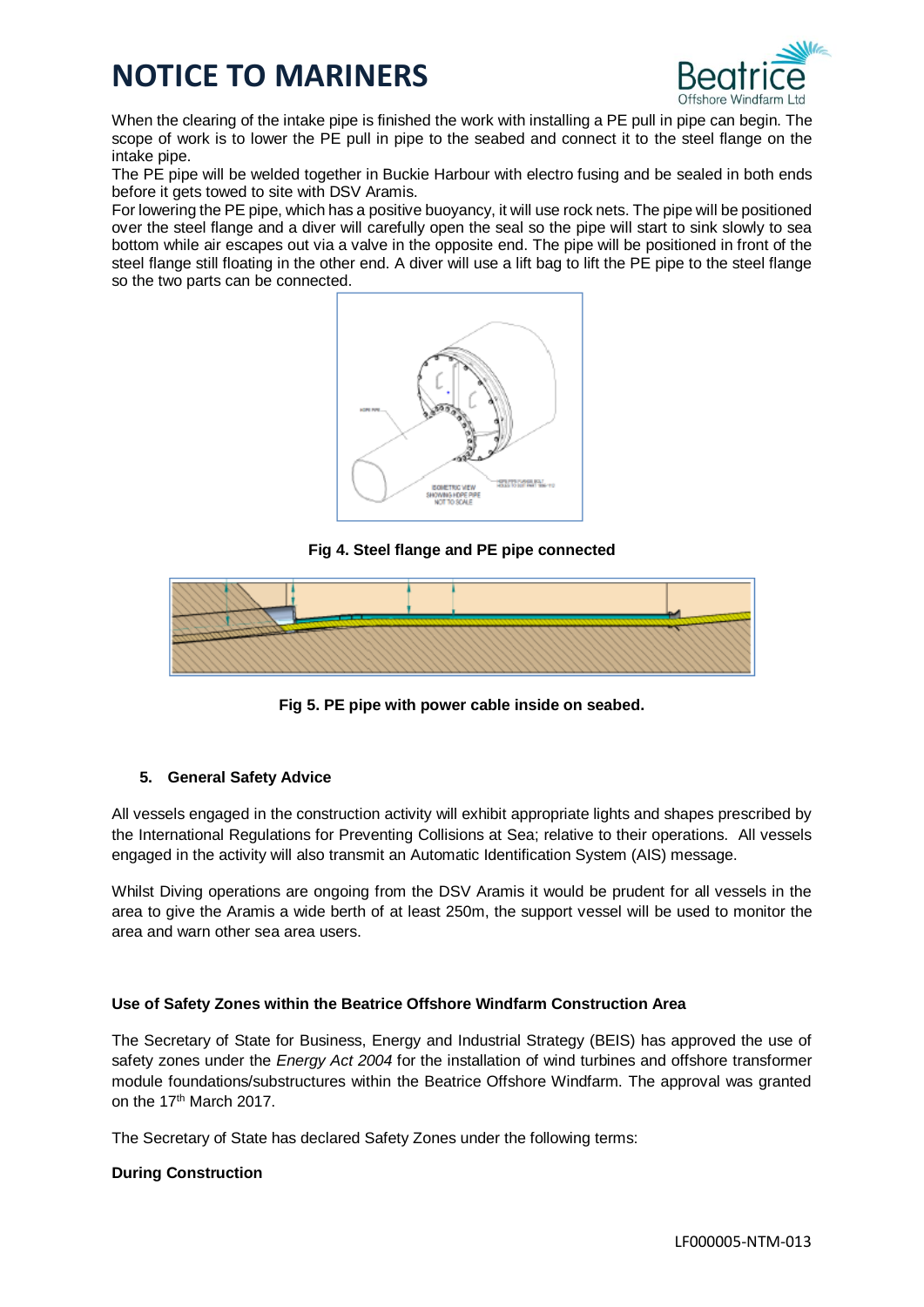

When the clearing of the intake pipe is finished the work with installing a PE pull in pipe can begin. The scope of work is to lower the PE pull in pipe to the seabed and connect it to the steel flange on the intake pipe.

The PE pipe will be welded together in Buckie Harbour with electro fusing and be sealed in both ends before it gets towed to site with DSV Aramis.

For lowering the PE pipe, which has a positive buoyancy, it will use rock nets. The pipe will be positioned over the steel flange and a diver will carefully open the seal so the pipe will start to sink slowly to sea bottom while air escapes out via a valve in the opposite end. The pipe will be positioned in front of the steel flange still floating in the other end. A diver will use a lift bag to lift the PE pipe to the steel flange so the two parts can be connected.



**Fig 4. Steel flange and PE pipe connected**



**Fig 5. PE pipe with power cable inside on seabed.**

#### **5. General Safety Advice**

All vessels engaged in the construction activity will exhibit appropriate lights and shapes prescribed by the International Regulations for Preventing Collisions at Sea; relative to their operations. All vessels engaged in the activity will also transmit an Automatic Identification System (AIS) message.

Whilst Diving operations are ongoing from the DSV Aramis it would be prudent for all vessels in the area to give the Aramis a wide berth of at least 250m, the support vessel will be used to monitor the area and warn other sea area users.

#### **Use of Safety Zones within the Beatrice Offshore Windfarm Construction Area**

The Secretary of State for Business, Energy and Industrial Strategy (BEIS) has approved the use of safety zones under the *Energy Act 2004* for the installation of wind turbines and offshore transformer module foundations/substructures within the Beatrice Offshore Windfarm. The approval was granted on the 17<sup>th</sup> March 2017.

The Secretary of State has declared Safety Zones under the following terms:

#### **During Construction**